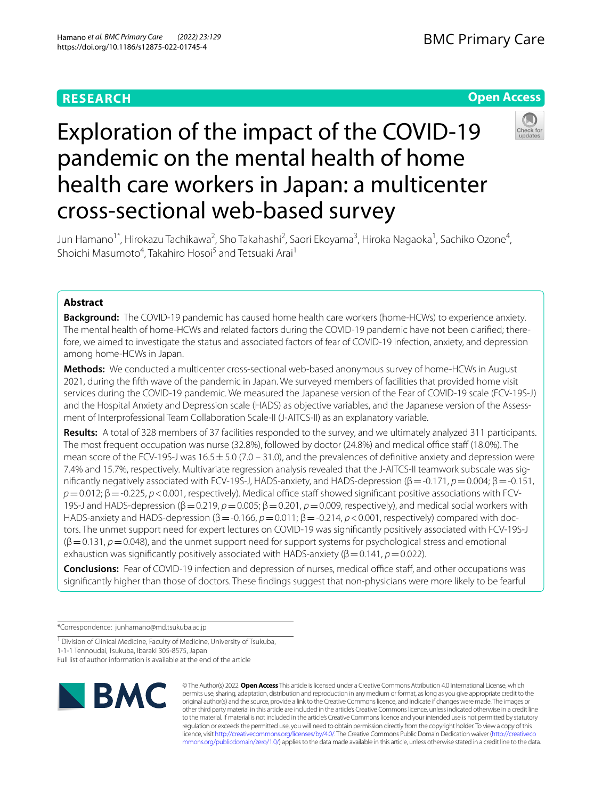## **RESEARCH**

## **Open Access**



# Exploration of the impact of the COVID-19 pandemic on the mental health of home health care workers in Japan: a multicenter cross-sectional web-based survey

Jun Hamano<sup>1\*</sup>, Hirokazu Tachikawa<sup>2</sup>, Sho Takahashi<sup>2</sup>, Saori Ekoyama<sup>3</sup>, Hiroka Nagaoka<sup>1</sup>, Sachiko Ozone<sup>4</sup>, Shoichi Masumoto<sup>4</sup>, Takahiro Hosoi<sup>5</sup> and Tetsuaki Arai<sup>1</sup>

## **Abstract**

**Background:** The COVID-19 pandemic has caused home health care workers (home-HCWs) to experience anxiety. The mental health of home-HCWs and related factors during the COVID-19 pandemic have not been clarifed; therefore, we aimed to investigate the status and associated factors of fear of COVID-19 infection, anxiety, and depression among home-HCWs in Japan.

**Methods:** We conducted a multicenter cross-sectional web-based anonymous survey of home-HCWs in August 2021, during the ffth wave of the pandemic in Japan. We surveyed members of facilities that provided home visit services during the COVID-19 pandemic. We measured the Japanese version of the Fear of COVID-19 scale (FCV-19S-J) and the Hospital Anxiety and Depression scale (HADS) as objective variables, and the Japanese version of the Assessment of Interprofessional Team Collaboration Scale-II (J-AITCS-II) as an explanatory variable.

**Results:** A total of 328 members of 37 facilities responded to the survey, and we ultimately analyzed 311 participants. The most frequent occupation was nurse (32.8%), followed by doctor (24.8%) and medical office staff (18.0%). The mean score of the FCV-19S-J was  $16.5 \pm 5.0$  (7.0 – 31.0), and the prevalences of definitive anxiety and depression were 7.4% and 15.7%, respectively. Multivariate regression analysis revealed that the J-AITCS-II teamwork subscale was signifcantly negatively associated with FCV-19S-J, HADS-anxiety, and HADS-depression (β=-0.171, *p*=0.004; β=-0.151,  $p=0.012$ ;  $\beta = -0.225$ ,  $p < 0.001$ , respectively). Medical office staff showed significant positive associations with FCV-19S-J and HADS-depression (β = 0.219, *p* = 0.005; β = 0.201, *p* = 0.009, respectively), and medical social workers with HADS-anxiety and HADS-depression (β = -0.166, *p* = 0.011; β = -0.214, *p* < 0.001, respectively) compared with doctors. The unmet support need for expert lectures on COVID-19 was signifcantly positively associated with FCV-19S-J  $(β=0.131, p=0.048)$ , and the unmet support need for support systems for psychological stress and emotional exhaustion was signifcantly positively associated with HADS-anxiety (β=0.141, *p*=0.022).

**Conclusions:** Fear of COVID-19 infection and depression of nurses, medical office staff, and other occupations was signifcantly higher than those of doctors. These fndings suggest that non-physicians were more likely to be fearful

\*Correspondence: junhamano@md.tsukuba.ac.jp

<sup>1</sup> Division of Clinical Medicine, Faculty of Medicine, University of Tsukuba,

1-1-1 Tennoudai, Tsukuba, Ibaraki 305-8575, Japan

Full list of author information is available at the end of the article



© The Author(s) 2022. **Open Access** This article is licensed under a Creative Commons Attribution 4.0 International License, which permits use, sharing, adaptation, distribution and reproduction in any medium or format, as long as you give appropriate credit to the original author(s) and the source, provide a link to the Creative Commons licence, and indicate if changes were made. The images or other third party material in this article are included in the article's Creative Commons licence, unless indicated otherwise in a credit line to the material. If material is not included in the article's Creative Commons licence and your intended use is not permitted by statutory regulation or exceeds the permitted use, you will need to obtain permission directly from the copyright holder. To view a copy of this licence, visit [http://creativecommons.org/licenses/by/4.0/.](http://creativecommons.org/licenses/by/4.0/) The Creative Commons Public Domain Dedication waiver ([http://creativeco](http://creativecommons.org/publicdomain/zero/1.0/) [mmons.org/publicdomain/zero/1.0/](http://creativecommons.org/publicdomain/zero/1.0/)) applies to the data made available in this article, unless otherwise stated in a credit line to the data.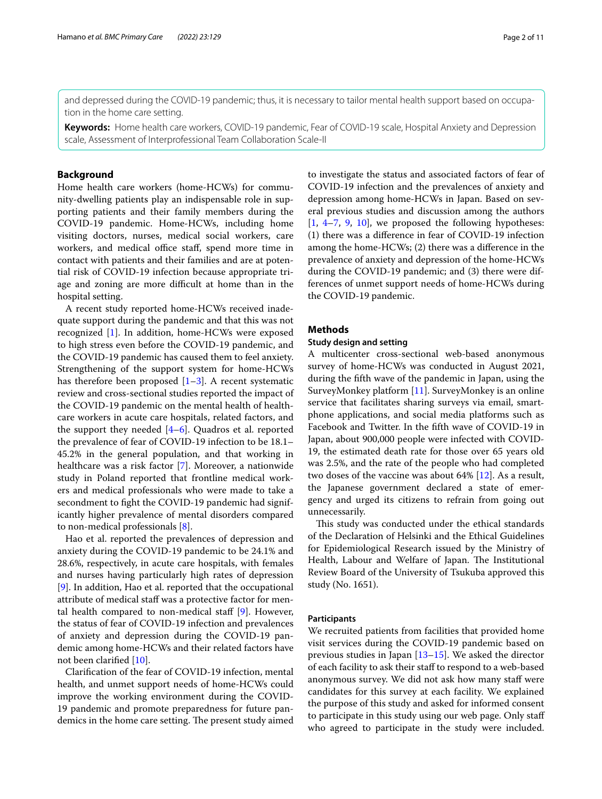and depressed during the COVID-19 pandemic; thus, it is necessary to tailor mental health support based on occupation in the home care setting.

**Keywords:** Home health care workers, COVID-19 pandemic, Fear of COVID-19 scale, Hospital Anxiety and Depression scale, Assessment of Interprofessional Team Collaboration Scale-II

## **Background**

Home health care workers (home-HCWs) for community-dwelling patients play an indispensable role in supporting patients and their family members during the COVID-19 pandemic. Home-HCWs, including home visiting doctors, nurses, medical social workers, care workers, and medical office staff, spend more time in contact with patients and their families and are at potential risk of COVID-19 infection because appropriate triage and zoning are more difficult at home than in the hospital setting.

A recent study reported home-HCWs received inadequate support during the pandemic and that this was not recognized [[1\]](#page-9-0). In addition, home-HCWs were exposed to high stress even before the COVID-19 pandemic, and the COVID-19 pandemic has caused them to feel anxiety. Strengthening of the support system for home-HCWs has therefore been proposed  $[1-3]$  $[1-3]$ . A recent systematic review and cross-sectional studies reported the impact of the COVID-19 pandemic on the mental health of healthcare workers in acute care hospitals, related factors, and the support they needed  $[4-6]$  $[4-6]$ . Quadros et al. reported the prevalence of fear of COVID-19 infection to be 18.1– 45.2% in the general population, and that working in healthcare was a risk factor [\[7](#page-9-4)]. Moreover, a nationwide study in Poland reported that frontline medical workers and medical professionals who were made to take a secondment to fght the COVID-19 pandemic had significantly higher prevalence of mental disorders compared to non-medical professionals [\[8](#page-9-5)].

Hao et al. reported the prevalences of depression and anxiety during the COVID-19 pandemic to be 24.1% and 28.6%, respectively, in acute care hospitals, with females and nurses having particularly high rates of depression [[9\]](#page-9-6). In addition, Hao et al. reported that the occupational attribute of medical staff was a protective factor for mental health compared to non-medical staff  $[9]$  $[9]$ . However, the status of fear of COVID-19 infection and prevalences of anxiety and depression during the COVID-19 pandemic among home-HCWs and their related factors have not been clarifed [[10](#page-9-7)].

Clarifcation of the fear of COVID-19 infection, mental health, and unmet support needs of home-HCWs could improve the working environment during the COVID-19 pandemic and promote preparedness for future pandemics in the home care setting. The present study aimed to investigate the status and associated factors of fear of COVID-19 infection and the prevalences of anxiety and depression among home-HCWs in Japan. Based on several previous studies and discussion among the authors  $[1, 4-7, 9, 10]$  $[1, 4-7, 9, 10]$  $[1, 4-7, 9, 10]$  $[1, 4-7, 9, 10]$  $[1, 4-7, 9, 10]$  $[1, 4-7, 9, 10]$  $[1, 4-7, 9, 10]$  $[1, 4-7, 9, 10]$ , we proposed the following hypotheses: (1) there was a diference in fear of COVID-19 infection among the home-HCWs; (2) there was a diference in the prevalence of anxiety and depression of the home-HCWs during the COVID-19 pandemic; and (3) there were differences of unmet support needs of home-HCWs during the COVID-19 pandemic.

## **Methods**

## **Study design and setting**

A multicenter cross-sectional web-based anonymous survey of home-HCWs was conducted in August 2021, during the ffth wave of the pandemic in Japan, using the SurveyMonkey platform [[11\]](#page-9-8). SurveyMonkey is an online service that facilitates sharing surveys via email, smartphone applications, and social media platforms such as Facebook and Twitter. In the ffth wave of COVID-19 in Japan, about 900,000 people were infected with COVID-19, the estimated death rate for those over 65 years old was 2.5%, and the rate of the people who had completed two doses of the vaccine was about 64% [\[12](#page-9-9)]. As a result, the Japanese government declared a state of emergency and urged its citizens to refrain from going out unnecessarily.

This study was conducted under the ethical standards of the Declaration of Helsinki and the Ethical Guidelines for Epidemiological Research issued by the Ministry of Health, Labour and Welfare of Japan. The Institutional Review Board of the University of Tsukuba approved this study (No. 1651).

## **Participants**

We recruited patients from facilities that provided home visit services during the COVID-19 pandemic based on previous studies in Japan [[13](#page-9-10)[–15](#page-9-11)]. We asked the director of each facility to ask their staf to respond to a web-based anonymous survey. We did not ask how many staff were candidates for this survey at each facility. We explained the purpose of this study and asked for informed consent to participate in this study using our web page. Only staf who agreed to participate in the study were included.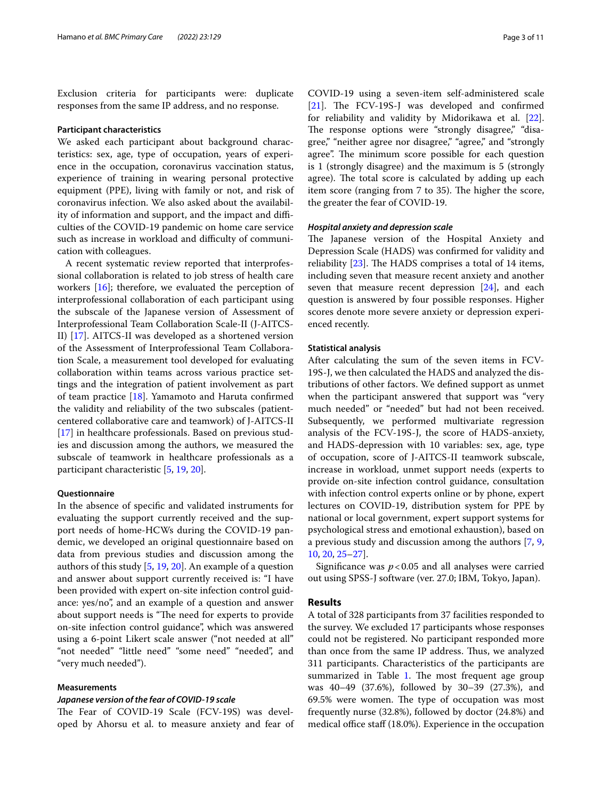Exclusion criteria for participants were: duplicate responses from the same IP address, and no response.

## **Participant characteristics**

We asked each participant about background characteristics: sex, age, type of occupation, years of experience in the occupation, coronavirus vaccination status, experience of training in wearing personal protective equipment (PPE), living with family or not, and risk of coronavirus infection. We also asked about the availability of information and support, and the impact and difficulties of the COVID-19 pandemic on home care service such as increase in workload and difficulty of communication with colleagues.

A recent systematic review reported that interprofessional collaboration is related to job stress of health care workers [\[16](#page-9-12)]; therefore, we evaluated the perception of interprofessional collaboration of each participant using the subscale of the Japanese version of Assessment of Interprofessional Team Collaboration Scale-II (J-AITCS-II) [[17\]](#page-9-13). AITCS-II was developed as a shortened version of the Assessment of Interprofessional Team Collaboration Scale, a measurement tool developed for evaluating collaboration within teams across various practice settings and the integration of patient involvement as part of team practice [\[18\]](#page-9-14). Yamamoto and Haruta confrmed the validity and reliability of the two subscales (patientcentered collaborative care and teamwork) of J-AITCS-II [[17\]](#page-9-13) in healthcare professionals. Based on previous studies and discussion among the authors, we measured the subscale of teamwork in healthcare professionals as a participant characteristic [[5,](#page-9-15) [19](#page-9-16), [20](#page-9-17)].

## **Questionnaire**

In the absence of specifc and validated instruments for evaluating the support currently received and the support needs of home-HCWs during the COVID-19 pandemic, we developed an original questionnaire based on data from previous studies and discussion among the authors of this study [\[5](#page-9-15), [19,](#page-9-16) [20](#page-9-17)]. An example of a question and answer about support currently received is: "I have been provided with expert on-site infection control guidance: yes/no", and an example of a question and answer about support needs is "The need for experts to provide on-site infection control guidance", which was answered using a 6-point Likert scale answer ("not needed at all" "not needed" "little need" "some need" "needed", and "very much needed").

## **Measurements**

## *Japanese version of the fear of COVID‑19 scale*

The Fear of COVID-19 Scale (FCV-19S) was developed by Ahorsu et al. to measure anxiety and fear of COVID-19 using a seven-item self-administered scale  $[21]$  $[21]$ . The FCV-19S-J was developed and confirmed for reliability and validity by Midorikawa et al. [\[22](#page-9-19)]. The response options were "strongly disagree," "disagree," "neither agree nor disagree," "agree," and "strongly agree". The minimum score possible for each question is 1 (strongly disagree) and the maximum is 5 (strongly agree). The total score is calculated by adding up each item score (ranging from 7 to 35). The higher the score, the greater the fear of COVID-19.

### *Hospital anxiety and depression scale*

The Japanese version of the Hospital Anxiety and Depression Scale (HADS) was confrmed for validity and reliability  $[23]$  $[23]$ . The HADS comprises a total of 14 items, including seven that measure recent anxiety and another seven that measure recent depression [[24](#page-10-1)], and each question is answered by four possible responses. Higher scores denote more severe anxiety or depression experienced recently.

## **Statistical analysis**

After calculating the sum of the seven items in FCV-19S-J, we then calculated the HADS and analyzed the distributions of other factors. We defned support as unmet when the participant answered that support was "very much needed" or "needed" but had not been received. Subsequently, we performed multivariate regression analysis of the FCV-19S-J, the score of HADS-anxiety, and HADS-depression with 10 variables: sex, age, type of occupation, score of J-AITCS-II teamwork subscale, increase in workload, unmet support needs (experts to provide on-site infection control guidance, consultation with infection control experts online or by phone, expert lectures on COVID-19, distribution system for PPE by national or local government, expert support systems for psychological stress and emotional exhaustion), based on a previous study and discussion among the authors [[7](#page-9-4), [9](#page-9-6), [10,](#page-9-7) [20,](#page-9-17) [25](#page-10-2)[–27](#page-10-3)].

Significance was  $p < 0.05$  and all analyses were carried out using SPSS-J software (ver. 27.0; IBM, Tokyo, Japan).

## **Results**

A total of 328 participants from 37 facilities responded to the survey. We excluded 17 participants whose responses could not be registered. No participant responded more than once from the same IP address. Thus, we analyzed 311 participants. Characteristics of the participants are summarized in Table [1.](#page-3-0) The most frequent age group was 40–49 (37.6%), followed by 30–39 (27.3%), and 69.5% were women. The type of occupation was most frequently nurse (32.8%), followed by doctor (24.8%) and medical office staff  $(18.0\%)$ . Experience in the occupation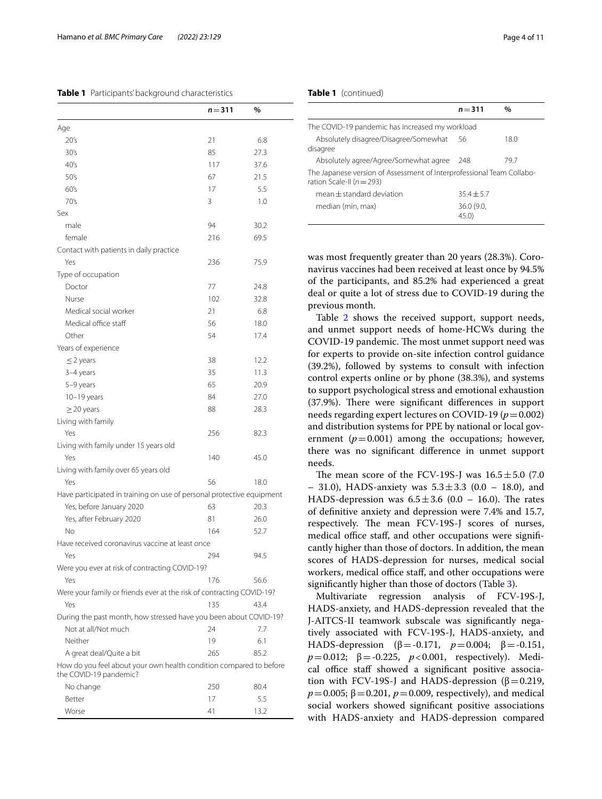## <span id="page-3-0"></span>**Table 1** Participants' background characteristics

|                                                                                              | $n = 311$ | $\%$ |
|----------------------------------------------------------------------------------------------|-----------|------|
| Age                                                                                          |           |      |
| 20's                                                                                         | 21        | 6.8  |
| 30's                                                                                         | 85        | 27.3 |
| 40's                                                                                         | 117       | 37.6 |
| 50's                                                                                         | 67        | 21.5 |
| 60's                                                                                         | 17        | 5.5  |
| 70's                                                                                         | 3         | 1.0  |
| Sex                                                                                          |           |      |
| male                                                                                         | 94        | 30.2 |
| female                                                                                       | 216       | 69.5 |
| Contact with patients in daily practice                                                      |           |      |
| Yes                                                                                          | 236       | 75.9 |
| Type of occupation                                                                           |           |      |
| Doctor                                                                                       | 77        | 24.8 |
| Nurse                                                                                        | 102       | 32.8 |
| Medical social worker                                                                        | 21        | 6.8  |
| Medical office staff                                                                         | 56        | 18.0 |
| Other                                                                                        | 54        | 17.4 |
| Years of experience                                                                          |           |      |
| $\leq$ 2 years                                                                               | 38        | 12.2 |
| 3-4 years                                                                                    | 35        | 11.3 |
| 5-9 years                                                                                    | 65        | 20.9 |
| $10-19$ years                                                                                | 84        | 27.0 |
| $\geq$ 20 years                                                                              | 88        | 28.3 |
| Living with family                                                                           |           |      |
| Yes                                                                                          | 256       | 82.3 |
| Living with family under 15 years old                                                        |           |      |
| Yes                                                                                          | 140       | 45.0 |
| Living with family over 65 years old                                                         |           |      |
| Yes                                                                                          | 56        | 18.0 |
| Have participated in training on use of personal protective equipment                        |           |      |
| Yes, before January 2020                                                                     | 63        | 20.3 |
| Yes, after February 2020                                                                     | 81        | 26.0 |
| <b>No</b>                                                                                    | 164       | 52.7 |
| Have received coronavirus vaccine at least once                                              |           |      |
| Yes                                                                                          | 294       | 94.5 |
| Were you ever at risk of contracting COVID-19?                                               |           |      |
| Yes                                                                                          | 176       | 56.6 |
| Were your family or friends ever at the risk of contracting COVID-19?                        |           |      |
| Yes                                                                                          | 135       | 43.4 |
| During the past month, how stressed have you been about COVID-19?                            |           |      |
| Not at all/Not much                                                                          | 24        | 7.7  |
| Neither                                                                                      | 19        | 6.1  |
| A great deal/Quite a bit                                                                     | 265       | 85.2 |
| How do you feel about your own health condition compared to before<br>the COVID-19 pandemic? |           |      |
| No change                                                                                    | 250       | 80.4 |
| Better                                                                                       | 17        | 5.5  |
| Worse                                                                                        | 41        | 13.2 |

## **Table 1** (continued)

|                                                                                                        | $n = 311$         | $\%$ |
|--------------------------------------------------------------------------------------------------------|-------------------|------|
| The COVID-19 pandemic has increased my workload                                                        |                   |      |
| Absolutely disagree/Disagree/Somewhat<br>disagree                                                      | -56               | 18.0 |
| Absolutely agree/Agree/Somewhat agree                                                                  | 248               | 79.7 |
| The Japanese version of Assessment of Interprofessional Team Collabo-<br>ration Scale-II ( $n = 293$ ) |                   |      |
| $mean + standard deviation$                                                                            | $35.4 + 5.7$      |      |
| median (min, max)                                                                                      | 36.0(9.0,<br>45.0 |      |

was most frequently greater than 20 years (28.3%). Coronavirus vaccines had been received at least once by 94.5% of the participants, and 85.2% had experienced a great deal or quite a lot of stress due to COVID-19 during the previous month.

Table [2](#page-5-0) shows the received support, support needs, and unmet support needs of home-HCWs during the COVID-19 pandemic. The most unmet support need was for experts to provide on-site infection control guidance (39.2%), followed by systems to consult with infection control experts online or by phone (38.3%), and systems to support psychological stress and emotional exhaustion (37.9%). There were significant differences in support needs regarding expert lectures on COVID-19 ( $p = 0.002$ ) and distribution systems for PPE by national or local government  $(p=0.001)$  among the occupations; however, there was no signifcant diference in unmet support needs.

The mean score of the FCV-19S-J was  $16.5 \pm 5.0$  (7.0) – 31.0), HADS-anxiety was  $5.3 \pm 3.3$  (0.0 – 18.0), and HADS-depression was  $6.5 \pm 3.6$  (0.0 – 16.0). The rates of defnitive anxiety and depression were 7.4% and 15.7, respectively. The mean FCV-19S-J scores of nurses, medical office staff, and other occupations were significantly higher than those of doctors. In addition, the mean scores of HADS-depression for nurses, medical social workers, medical office staff, and other occupations were signifcantly higher than those of doctors (Table [3\)](#page-7-0).

Multivariate regression analysis of FCV-19S-J, HADS-anxiety, and HADS-depression revealed that the J-AITCS-II teamwork subscale was signifcantly negatively associated with FCV-19S-J, HADS-anxiety, and HADS-depression (β = -0.171,  $p = 0.004$ ; β = -0.151,  $p=0.012$ ;  $\beta = -0.225$ ,  $p < 0.001$ , respectively). Medical office staff showed a significant positive association with FCV-19S-J and HADS-depression (β = 0.219,  $p = 0.005$ ;  $\beta = 0.201$ ,  $p = 0.009$ , respectively), and medical social workers showed signifcant positive associations with HADS-anxiety and HADS-depression compared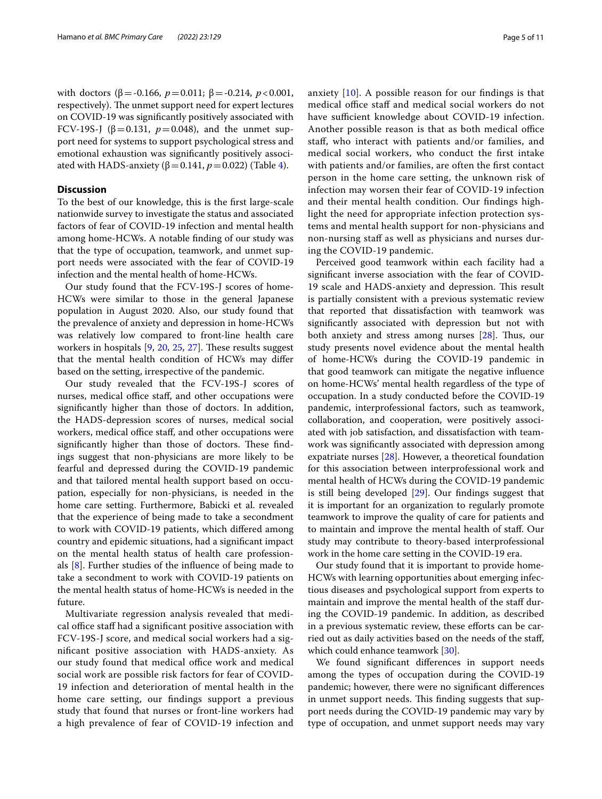with doctors ( $\beta$ =-0.166,  $p$ =0.011;  $\beta$ =-0.214,  $p$ <0.001, respectively). The unmet support need for expert lectures on COVID-19 was signifcantly positively associated with FCV-19S-J (β=0.131,  $p=0.048$ ), and the unmet support need for systems to support psychological stress and emotional exhaustion was signifcantly positively associated with HADS-anxiety ( $β=0.141$ ,  $p=0.022$ ) (Table [4](#page-8-0)).

## **Discussion**

To the best of our knowledge, this is the frst large-scale nationwide survey to investigate the status and associated factors of fear of COVID-19 infection and mental health among home-HCWs. A notable fnding of our study was that the type of occupation, teamwork, and unmet support needs were associated with the fear of COVID-19 infection and the mental health of home-HCWs.

Our study found that the FCV-19S-J scores of home-HCWs were similar to those in the general Japanese population in August 2020. Also, our study found that the prevalence of anxiety and depression in home-HCWs was relatively low compared to front-line health care workers in hospitals  $[9, 20, 25, 27]$  $[9, 20, 25, 27]$  $[9, 20, 25, 27]$  $[9, 20, 25, 27]$  $[9, 20, 25, 27]$  $[9, 20, 25, 27]$  $[9, 20, 25, 27]$  $[9, 20, 25, 27]$ . These results suggest that the mental health condition of HCWs may difer based on the setting, irrespective of the pandemic.

Our study revealed that the FCV-19S-J scores of nurses, medical office staff, and other occupations were signifcantly higher than those of doctors. In addition, the HADS-depression scores of nurses, medical social workers, medical office staff, and other occupations were significantly higher than those of doctors. These findings suggest that non-physicians are more likely to be fearful and depressed during the COVID-19 pandemic and that tailored mental health support based on occupation, especially for non-physicians, is needed in the home care setting. Furthermore, Babicki et al. revealed that the experience of being made to take a secondment to work with COVID-19 patients, which difered among country and epidemic situations, had a signifcant impact on the mental health status of health care professionals [[8\]](#page-9-5). Further studies of the infuence of being made to take a secondment to work with COVID-19 patients on the mental health status of home-HCWs is needed in the future.

Multivariate regression analysis revealed that medical office staff had a significant positive association with FCV-19S-J score, and medical social workers had a signifcant positive association with HADS-anxiety. As our study found that medical office work and medical social work are possible risk factors for fear of COVID-19 infection and deterioration of mental health in the home care setting, our fndings support a previous study that found that nurses or front-line workers had a high prevalence of fear of COVID-19 infection and anxiety [[10](#page-9-7)]. A possible reason for our fndings is that medical office staff and medical social workers do not have sufficient knowledge about COVID-19 infection. Another possible reason is that as both medical office staf, who interact with patients and/or families, and medical social workers, who conduct the frst intake with patients and/or families, are often the frst contact person in the home care setting, the unknown risk of infection may worsen their fear of COVID-19 infection and their mental health condition. Our fndings highlight the need for appropriate infection protection systems and mental health support for non-physicians and non-nursing staff as well as physicians and nurses during the COVID-19 pandemic.

Perceived good teamwork within each facility had a signifcant inverse association with the fear of COVID-19 scale and HADS-anxiety and depression. This result is partially consistent with a previous systematic review that reported that dissatisfaction with teamwork was signifcantly associated with depression but not with both anxiety and stress among nurses  $[28]$  $[28]$ . Thus, our study presents novel evidence about the mental health of home-HCWs during the COVID-19 pandemic in that good teamwork can mitigate the negative infuence on home-HCWs' mental health regardless of the type of occupation. In a study conducted before the COVID-19 pandemic, interprofessional factors, such as teamwork, collaboration, and cooperation, were positively associated with job satisfaction, and dissatisfaction with teamwork was signifcantly associated with depression among expatriate nurses [[28](#page-10-4)]. However, a theoretical foundation for this association between interprofessional work and mental health of HCWs during the COVID-19 pandemic is still being developed [\[29](#page-10-5)]. Our fndings suggest that it is important for an organization to regularly promote teamwork to improve the quality of care for patients and to maintain and improve the mental health of staf. Our study may contribute to theory-based interprofessional work in the home care setting in the COVID-19 era.

Our study found that it is important to provide home-HCWs with learning opportunities about emerging infectious diseases and psychological support from experts to maintain and improve the mental health of the staff during the COVID-19 pandemic. In addition, as described in a previous systematic review, these efforts can be carried out as daily activities based on the needs of the staf, which could enhance teamwork [[30](#page-10-6)].

We found signifcant diferences in support needs among the types of occupation during the COVID-19 pandemic; however, there were no signifcant diferences in unmet support needs. This finding suggests that support needs during the COVID-19 pandemic may vary by type of occupation, and unmet support needs may vary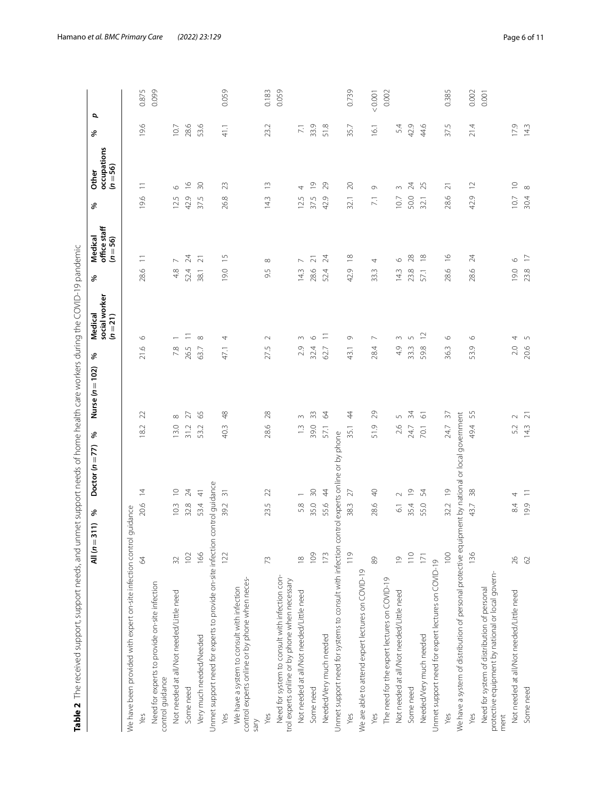<span id="page-5-0"></span>

|                                                                                                                                                                                                                                                       | Š                                   |
|-------------------------------------------------------------------------------------------------------------------------------------------------------------------------------------------------------------------------------------------------------|-------------------------------------|
|                                                                                                                                                                                                                                                       |                                     |
| í                                                                                                                                                                                                                                                     | <b>Separate</b><br>iralical         |
| こうこうしょう                                                                                                                                                                                                                                               | Medical                             |
| -<br>3<br>3<br>3<br>3                                                                                                                                                                                                                                 |                                     |
| included and capital included to the contract of the contract of contract of contract included to the contract of the contract of the contract of the contract of the contract of the contract of the contract of the contract<br>)<br>)<br>)<br>うりりり | Doctor $(n=77)$ % Nurse $(n=102)$ % |
|                                                                                                                                                                                                                                                       | All $(n=311)$ %                     |
| うりり<br>l<br>J<br>I                                                                                                                                                                                                                                    |                                     |

|                                                                                                          | $\widehat{\phantom{a}}$<br>$AlI(n=31)$ | %               | Doctor $(n=77)$ | ৡ    | Nurse $(n=102)$    | %             | Medical                   | %    | Medical                    | శ               | Other                     | శ                | σ       |  |
|----------------------------------------------------------------------------------------------------------|----------------------------------------|-----------------|-----------------|------|--------------------|---------------|---------------------------|------|----------------------------|-----------------|---------------------------|------------------|---------|--|
|                                                                                                          |                                        |                 |                 |      |                    |               | social worker<br>$(n=21)$ |      | office staff<br>$(n = 56)$ |                 | occupations<br>$(n = 56)$ |                  |         |  |
| We have been provided with expert on-site infection control guidance                                     |                                        |                 |                 |      |                    |               |                           |      |                            |                 |                           |                  |         |  |
| Yes                                                                                                      | 2                                      | 20.6            | $\overline{4}$  | 18.2 | 22                 | 21.6          | $\circ$                   | 28.6 | $\equiv$                   | 19.6            | $\equiv$                  | 9.6              | 0.875   |  |
| Need for experts to provide on-site infection<br>control guidance                                        |                                        |                 |                 |      |                    |               |                           |      |                            |                 |                           |                  | 0.099   |  |
| Not needed at all/Not needed/Little need                                                                 | $\Im$                                  | 10.3            | $\supseteq$     | 13.0 | $\infty$           | 7.8           |                           | 48   |                            | 12.5            | $\circ$                   | 10.7             |         |  |
| Some need                                                                                                | 102                                    | 32.8            | 24              | 31.2 | 27                 | 26.5          |                           | 52.4 | $\overline{2}$             | 42.9            | $\frac{6}{1}$             | 28.6             |         |  |
| Very much needed/Needed                                                                                  | 166                                    | 53.4            | $\frac{4}{5}$   | 53.2 | 65                 | 63.7          | $\infty$                  | 38.1 | $\overline{2}1$            | 37.5            | 50                        | 53.6             |         |  |
| Unmet support need for experts to provide on-site infection control guidance                             |                                        |                 |                 |      |                    |               |                           |      |                            |                 |                           |                  |         |  |
| Yes                                                                                                      | 122                                    | 39.2            | $\overline{5}$  | 40.3 | $\frac{8}{4}$      | 47.1          | 4                         | 19.0 | $\frac{5}{1}$              | 26.8            | 23                        | 41.1             | 0.059   |  |
| control experts online or by phone when neces-<br>We have a system to consult with infection<br>Sary     |                                        |                 |                 |      |                    |               |                           |      |                            |                 |                           |                  |         |  |
| Yes                                                                                                      | 73                                     | 23.5            | 22              | 28.6 | 28                 | 27.5          | $\sim$                    | 9.5  | $\infty$                   | 14.3            | $\widetilde{\phantom{a}}$ | 23.2             | 0.183   |  |
| Need for system to consult with infection con-<br>trol experts online or by phone when necessary         |                                        |                 |                 |      |                    |               |                           |      |                            |                 |                           |                  | 0.059   |  |
| Not needed at all/Not needed/Little need                                                                 | $\frac{8}{10}$                         | 5.8             |                 | 1.3  |                    | 2.9           | 3                         | 14.3 |                            | 12.5            | 4                         | $\overline{7.1}$ |         |  |
| Some need                                                                                                | 109                                    | 35.0            | 50              | 39.0 | ౢ                  | 32.4          | $\circ$                   | 28.6 | $\overline{\sim}$          | 37.5            | $\overline{0}$            | 33.9             |         |  |
| Needed/Very much needed                                                                                  | 173                                    | 55.6            | $\overline{4}$  | 57.1 | 64                 | 62.7          | Ξ                         | 52.4 | $\approx$                  | 42.9            | 29                        | 51.8             |         |  |
| Unmet support need for systems to consult with infection control experts online or by phone              |                                        |                 |                 |      |                    |               |                           |      |                            |                 |                           |                  |         |  |
| Yes                                                                                                      | 119                                    | 38.3            | 27              | 35.1 | 44                 | 43.1          | G                         | 42.9 | $\frac{\infty}{\infty}$    | 32.1            | $\approx$                 | 35.7             | 0.739   |  |
| We are able to attend expert lectures on COVID-19                                                        |                                        |                 |                 |      |                    |               |                           |      |                            |                 |                           |                  |         |  |
| Yes                                                                                                      | $88$                                   | 28.6            | $\frac{1}{2}$   | 51.9 | 29                 | 28.4          | $\overline{\phantom{a}}$  | 33.3 | 4                          | $\overline{71}$ | G                         | 16.1             | < 0.001 |  |
| The need for the expert lectures on COVID-19                                                             |                                        |                 |                 |      |                    |               |                           |      |                            |                 |                           |                  | 0.002   |  |
| Not needed at all/Not needed/Little need                                                                 | $\overline{0}$                         | $\overline{61}$ | $\sim$          | 2.6  | 5                  | 4.9           | $\sim$                    | 14.3 | $\circ$                    | 10.7            | $\infty$                  | 5.4              |         |  |
| Some need                                                                                                | 110                                    | 35.4            | $\overline{0}$  | 24.7 | 34                 | 33.3          | 5                         | 23.8 | 28                         | 50.0            | Z4                        | 42.9             |         |  |
| Needed/Very much needed                                                                                  | 171                                    | 55.0            | $\frac{1}{2}$   | 70.1 | $\overline{\circ}$ | 59.8          | $\tilde{c}$               | 57.1 | $\approx$                  | 32.1            | 25                        | 44.6             |         |  |
| Unmet support need for expert lectures on COVID-19                                                       |                                        |                 |                 |      |                    |               |                           |      |                            |                 |                           |                  |         |  |
| Yes                                                                                                      | 100                                    | 32.2            | $\frac{1}{2}$   | 24.7 | $\sqrt{2}$         | $\sim$<br>36. | $\circ$                   | 28.6 | $\frac{8}{1}$              | 28.6            | $\overline{\sim}$         | 37.5             | 0.385   |  |
| We have a system of distribution of personal protective equipment by national or local government        |                                        |                 |                 |      |                    |               |                           |      |                            |                 |                           |                  |         |  |
| Yes                                                                                                      | 136                                    | 43.7            | 38              | 49.4 | 55                 | Ō<br>S.       | $\circ$                   | 28.6 | 24                         | 42.9            | $\approx$                 | 21.4             | 0.002   |  |
| protective equipment by national or local govern-<br>Need for system of distribution of personal<br>ment |                                        |                 |                 |      |                    |               |                           |      |                            |                 |                           |                  | 0.001   |  |
| Not needed at all/Not needed/Little need                                                                 | 26                                     | 84              | 4               | 5.2  | $\sim$             | 2.0           | 4                         | 19.0 | $\circ$                    | 10.7            | $\supseteq$               | 179              |         |  |
| Some need                                                                                                | $62$                                   | 19.9            | $\equiv$        | 14.3 | $\overline{z}$     | 20.6          | 5                         | 23.8 | $\overline{\phantom{0}}$   | 30.4            | $\infty$                  | 143              |         |  |
|                                                                                                          |                                        |                 |                 |      |                    |               |                           |      |                            |                 |                           |                  |         |  |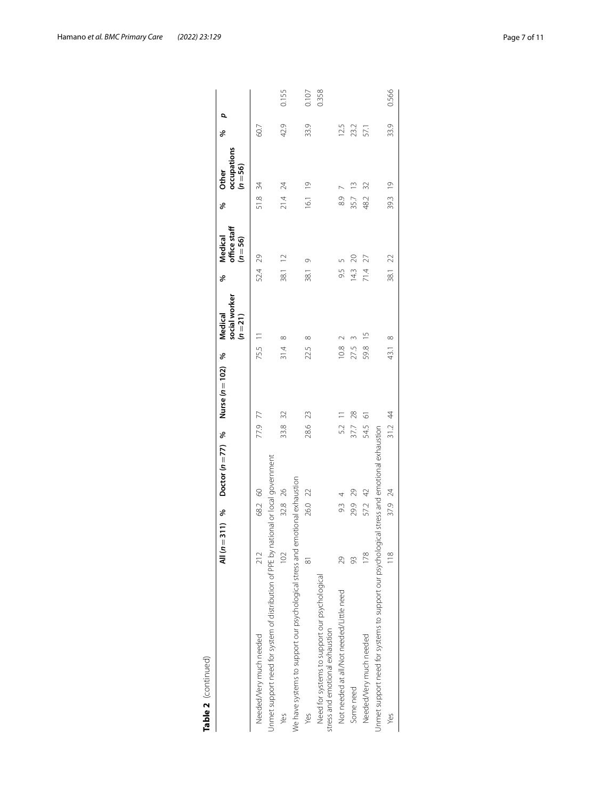| Table 2 (continued)                                                                         |                |                                   |         |                   |         |                                      |         |                                       |         |                                    |        |       |
|---------------------------------------------------------------------------------------------|----------------|-----------------------------------|---------|-------------------|---------|--------------------------------------|---------|---------------------------------------|---------|------------------------------------|--------|-------|
|                                                                                             |                | All $(n=311)$ % Doctor $(n=77)$ % |         | Nurse $(n=102)$ % |         | social worker<br>Medical<br>$(n=21)$ | ℅       | office staff<br>Medical<br>$(n = 56)$ | ℅       | occupations<br>$(n = 56)$<br>Other | Q<br>℅ |       |
| Needed/Very much needed                                                                     | 212            | 68.2 60                           | 77.9 77 |                   | 75.5 11 |                                      | 52.4 29 |                                       | 51.8 34 |                                    | 60.7   |       |
| Jnmet support need for system of distribution of PPE by national or local government        |                |                                   |         |                   |         |                                      |         |                                       |         |                                    |        |       |
| Yes                                                                                         | 102            | 32.8 26                           | 33.8    | 32                | 31.4    | ∞                                    | 38.1 12 |                                       | 21.4224 |                                    | 42.9   | 0.155 |
| We have systems to support our psychological stress and emotional exhaustion                |                |                                   |         |                   |         |                                      |         |                                       |         |                                    |        |       |
| Yes                                                                                         | $\overline{8}$ | 26.0 22                           | 28.6    | 23                | 22.5    | $\infty$                             | 38.1    | $\circ$                               | 16.1 19 |                                    | 33.9   | 0.107 |
| Need for systems to support our psychological<br>stress and emotional exhaustion            |                |                                   |         |                   |         |                                      |         |                                       |         |                                    |        | 0.358 |
| Not needed at all/Not needed/Little need                                                    | 29             | 93                                | 5.2     |                   | 10.8    |                                      | 9.5     |                                       | 89      |                                    | 12.5   |       |
| Some need                                                                                   | 93             | 29.9 29                           | 37.7 28 |                   | 27.5    |                                      | 14.3    | 20                                    | 35.7    | $\frac{3}{2}$                      | 23.2   |       |
| Needed/Very much needed                                                                     | 178            | 57.2 42                           | 54.5    | $\overline{6}$    | 59.8 15 |                                      | 71.4    | 27                                    | 48.2 32 |                                    | 57.1   |       |
| Jnmet support need for systems to support our psychological stress and emotional exhaustion |                |                                   |         |                   |         |                                      |         |                                       |         |                                    |        |       |
| Yes                                                                                         | $\frac{8}{10}$ | 37.9 24                           | 31.2 44 |                   | 43.1    | $\infty$                             | 38.1    | $\approx$                             | 39.3    | $\frac{1}{2}$                      | 33.9   | 0.566 |
|                                                                                             |                |                                   |         |                   |         |                                      |         |                                       |         |                                    |        |       |

|  | I |
|--|---|
|  |   |
|  |   |
|  |   |
|  |   |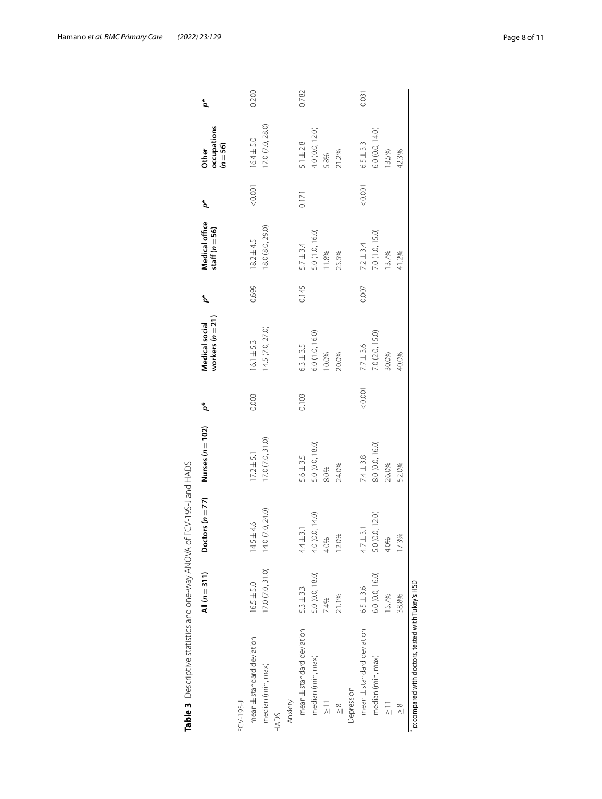| Table 3 Descriptive statistics and one-way ANOVA of FCV-19S-J and HADS |                  |                    |                    |       |                                    |       |                                      |                 |                                    |       |
|------------------------------------------------------------------------|------------------|--------------------|--------------------|-------|------------------------------------|-------|--------------------------------------|-----------------|------------------------------------|-------|
|                                                                        | All $(n=311)$    | Doctors $(n = 77)$ | Nurses $(n = 102)$ | مٌ    | workers $(n=21)$<br>Medical social | مٌ    | Medical office<br>staff ( $n = 56$ ) | $\mathcal{L}^*$ | occupations<br>$(n = 56)$<br>Other | مٌ    |
| FCV-19S-J                                                              |                  |                    |                    |       |                                    |       |                                      |                 |                                    |       |
| mean ± standard deviation                                              | $16.5 + 5.0$     | $2 + 4.6$<br>14.5  | $17.2 \pm 5.1$     | 0.003 | $16.1 \pm 5.3$                     | 0.699 | $18.2 \pm 4.5$                       | 0.001           | $16.4 \pm 5.0$                     | 0.200 |
| median (min, max)                                                      | 17.0 (7.0, 31.0) | 14.0 (7.0, 24.0)   | 17.0 (7.0, 31.0)   |       | 14.5 (7.0, 27.0)                   |       | 18.0 (8.0, 29.0)                     |                 | 17.0 (7.0, 28.0)                   |       |
| HADS                                                                   |                  |                    |                    |       |                                    |       |                                      |                 |                                    |       |
| Anxiety                                                                |                  |                    |                    |       |                                    |       |                                      |                 |                                    |       |
| mean ± standard deviation                                              | $5.3 \pm 3.3$    | $4.4 \pm 3.1$      | $5.6 \pm 3.5$      | 0.103 | $6.3 \pm 3.5$                      | 0.145 | $5.7 \pm 3.4$                        | 0.171           | $5.1 \pm 2.8$                      | 0.782 |
| median (min, max)                                                      | 5.0 (0.0, 18.0)  | 4.0 (0.0, 14.0)    | 5.0 (0.0, 18.0)    |       | 6.0 (1.0, 16.0)                    |       | 5.0 (1.0, 16.0)                      |                 | 4.0 (0.0, 12.0)                    |       |
| $\frac{1}{2}$                                                          | 7.4%             | 4.0%               | 8.0%               |       | 10.0%                              |       | 11.8%                                |                 | 5.8%                               |       |
| ∞<br>∧l                                                                | 21.1%            | 12.0%              | 24.0%              |       | 20.0%                              |       | 25.5%                                |                 | 21.2%                              |       |
| Depression                                                             |                  |                    |                    |       |                                    |       |                                      |                 |                                    |       |
| mean ± standard deviation                                              | $6.5 + 3.6$      | $4.7 \pm 3.1$      | $7.4 \pm 3.8$      | 0.001 | $7.7 \pm 3.6$                      | 0.007 | $7.2 \pm 3.4$                        | 10001           | $6.5 + 3.3$                        | 0.031 |
| median (min, max)                                                      | 6.0 (0.0, 16.0)  | 5.0 (0.0, 12.0)    | 8.0 (0.0, 16.0)    |       | 7.0 (2.0, 15.0)                    |       | 7.0 (1.0, 15.0)                      |                 | 6.0 (0.0, 14.0)                    |       |
| $\frac{1}{2}$                                                          | 15.7%            | 4.0%               | 26.0%              |       | 30.0%                              |       | 13.7%                                |                 | 13.5%                              |       |
| $\frac{8}{1}$                                                          | 38.8%            | 17.3%              | 52.0%              |       | 40.0%                              |       | 41.2%                                |                 | 42.3%                              |       |
| p: compared with doctors, tested with Tukey's HSD                      |                  |                    |                    |       |                                    |       |                                      |                 |                                    |       |

<span id="page-7-0"></span>

| 1                                      |
|----------------------------------------|
| Ī<br>ļ<br>¢                            |
| Ï<br>ţ<br>¢<br>١                       |
| Ï<br>i<br>J<br>l                       |
| I<br>$\ddot{.}$<br>١                   |
|                                        |
| S<br>í<br>I<br>J                       |
| .<br>ممر<br>$\overline{ }$<br>s<br>c   |
| l<br>$\frac{1}{2}$<br>١                |
| ¢<br>Ï<br>Š<br>۱                       |
| ļ<br>)<br>I                            |
| ¢<br>١<br>j<br>j<br>١<br>$\mathcal{L}$ |
| r<br>١<br>Ľ<br>$\overline{a}$<br>I     |
|                                        |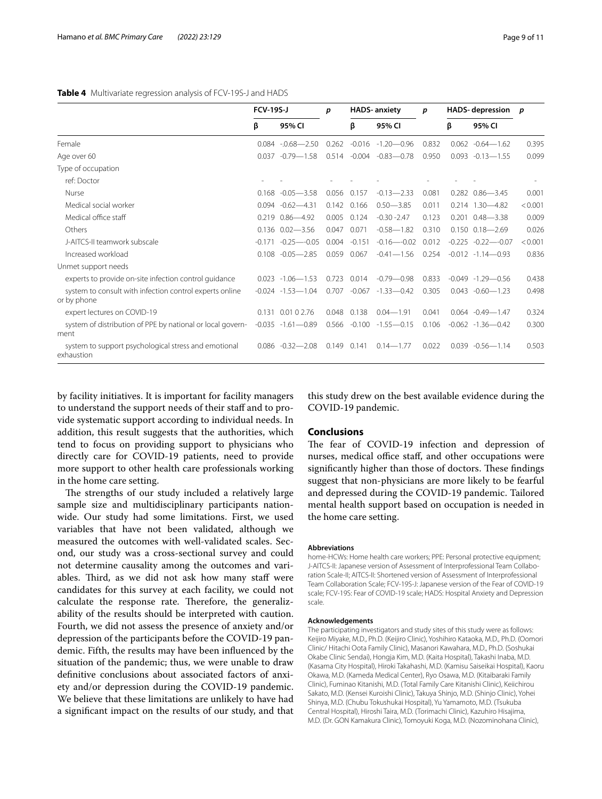## <span id="page-8-0"></span>**Table 4** Multivariate regression analysis of FCV-19S-J and HADS

|                                                                        | <b>FCV-19S-J</b> |                        | p     |          | <b>HADS-anxiety</b> | p     |       | <b>HADS-</b> depression | p       |
|------------------------------------------------------------------------|------------------|------------------------|-------|----------|---------------------|-------|-------|-------------------------|---------|
|                                                                        | β                | 95% CI                 |       | β        | 95% CI              |       | β     | 95% CI                  |         |
| Female                                                                 |                  | $0.084 - 0.68 - 2.50$  | 0.262 | $-0.016$ | $-1.20 - 0.96$      | 0.832 | 0.062 | $-0.64 - 1.62$          | 0.395   |
| Age over 60                                                            | 0.037            | $-0.79 - 1.58$         | 0.514 | $-0.004$ | $-0.83 - 0.78$      | 0.950 |       | $0.093 - 0.13 - 1.55$   | 0.099   |
| Type of occupation                                                     |                  |                        |       |          |                     |       |       |                         |         |
| ref: Doctor                                                            |                  |                        |       |          |                     |       |       |                         |         |
| Nurse                                                                  |                  | $0.168 - 0.05 - 3.58$  | 0.056 | 0.157    | $-0.13 - 2.33$      | 0.081 |       | $0.282$ $0.86 - 3.45$   | 0.001   |
| Medical social worker                                                  |                  | $0.094 - 0.62 - 4.31$  | 0.142 | 0.166    | $0.50 - 3.85$       | 0.011 |       | $0.214$ $1.30 - 4.82$   | < 0.001 |
| Medical office staff                                                   |                  | $0.219$ $0.86 - 4.92$  | 0.005 | 0.124    | $-0.30 - 2.47$      | 0.123 |       | $0.201$ $0.48 - 3.38$   | 0.009   |
| Others                                                                 |                  | $0.136$ $0.02 - 3.56$  | 0.047 | 0.071    | $-0.58 - 1.82$      | 0.310 |       | $0.150$ $0.18 - 2.69$   | 0.026   |
| J-AITCS-II teamwork subscale                                           | $-0.171$         | $-0.25 - 0.05$         | 0.004 | $-0.151$ | $-0.16 - -0.02$     | 0.012 |       | $-0.225 -0.22$ -0.07    | < 0.001 |
| Increased workload                                                     | 0.108            | $-0.05 - 2.85$         | 0.059 | 0.067    | $-0.41 - 1.56$      | 0.254 |       | $-0.012 -1.14 - 0.93$   | 0.836   |
| Unmet support needs                                                    |                  |                        |       |          |                     |       |       |                         |         |
| experts to provide on-site infection control quidance                  |                  | $0.023 - 1.06 - 1.53$  | 0.723 | 0.014    | $-0.79 - 0.98$      | 0.833 |       | $-0.049 - 1.29 - 0.56$  | 0.438   |
| system to consult with infection control experts online<br>or by phone |                  | $-0.024 - 1.53 - 1.04$ | 0.707 | $-0.067$ | $-1.33 - 0.42$      | 0.305 |       | $0.043 - 0.60 - 1.23$   | 0.498   |
| expert lectures on COVID-19                                            |                  | 0.131 0.01 0 2.76      | 0.048 | 0.138    | $0.04 - 1.91$       | 0.041 |       | $0.064 - 0.49 - 1.47$   | 0.324   |
| system of distribution of PPE by national or local govern-<br>ment     |                  | $-0.035 -1.61 - 0.89$  | 0.566 | $-0.100$ | $-1.55 - 0.15$      | 0.106 |       | $-0.062 -1.36 - 0.42$   | 0.300   |
| system to support psychological stress and emotional<br>exhaustion     |                  | $0.086 - 0.32 - 2.08$  | 0.149 | 0.141    | $0.14 - 1.77$       | 0.022 |       | $0.039 - 0.56 - 1.14$   | 0.503   |

by facility initiatives. It is important for facility managers to understand the support needs of their staff and to provide systematic support according to individual needs. In addition, this result suggests that the authorities, which tend to focus on providing support to physicians who directly care for COVID-19 patients, need to provide more support to other health care professionals working in the home care setting.

The strengths of our study included a relatively large sample size and multidisciplinary participants nationwide. Our study had some limitations. First, we used variables that have not been validated, although we measured the outcomes with well-validated scales. Second, our study was a cross-sectional survey and could not determine causality among the outcomes and variables. Third, as we did not ask how many staff were candidates for this survey at each facility, we could not calculate the response rate. Therefore, the generalizability of the results should be interpreted with caution. Fourth, we did not assess the presence of anxiety and/or depression of the participants before the COVID-19 pandemic. Fifth, the results may have been infuenced by the situation of the pandemic; thus, we were unable to draw defnitive conclusions about associated factors of anxiety and/or depression during the COVID-19 pandemic. We believe that these limitations are unlikely to have had a signifcant impact on the results of our study, and that

this study drew on the best available evidence during the COVID-19 pandemic.

## **Conclusions**

The fear of COVID-19 infection and depression of nurses, medical office staff, and other occupations were significantly higher than those of doctors. These findings suggest that non-physicians are more likely to be fearful and depressed during the COVID-19 pandemic. Tailored mental health support based on occupation is needed in the home care setting.

#### **Abbreviations**

home-HCWs: Home health care workers; PPE: Personal protective equipment; J-AITCS-II: Japanese version of Assessment of Interprofessional Team Collaboration Scale-II; AITCS-II: Shortened version of Assessment of Interprofessional Team Collaboration Scale; FCV-19S-J: Japanese version of the Fear of COVID-19 scale; FCV-19S: Fear of COVID-19 scale; HADS: Hospital Anxiety and Depression scale.

## **Acknowledgements**

The participating investigators and study sites of this study were as follows: Keijiro Miyake, M.D., Ph.D. (Keijiro Clinic), Yoshihiro Kataoka, M.D., Ph.D. (Oomori Clinic/ Hitachi Oota Family Clinic), Masanori Kawahara, M.D., Ph.D. (Soshukai Okabe Clinic Sendai), Hongja Kim, M.D. (Kaita Hospital), Takashi Inaba, M.D. (Kasama City Hospital), Hiroki Takahashi, M.D. (Kamisu Saiseikai Hospital), Kaoru Okawa, M.D. (Kameda Medical Center), Ryo Osawa, M.D. (Kitaibaraki Family Clinic), Fuminao Kitanishi, M.D. (Total Family Care Kitanishi Clinic), Keiichirou Sakato, M.D. (Kensei Kuroishi Clinic), Takuya Shinjo, M.D. (Shinjo Clinic), Yohei Shinya, M.D. (Chubu Tokushukai Hospital), Yu Yamamoto, M.D. (Tsukuba Central Hospital), Hiroshi Taira, M.D. (Torimachi Clinic), Kazuhiro Hisajima, M.D. (Dr. GON Kamakura Clinic), Tomoyuki Koga, M.D. (Nozominohana Clinic),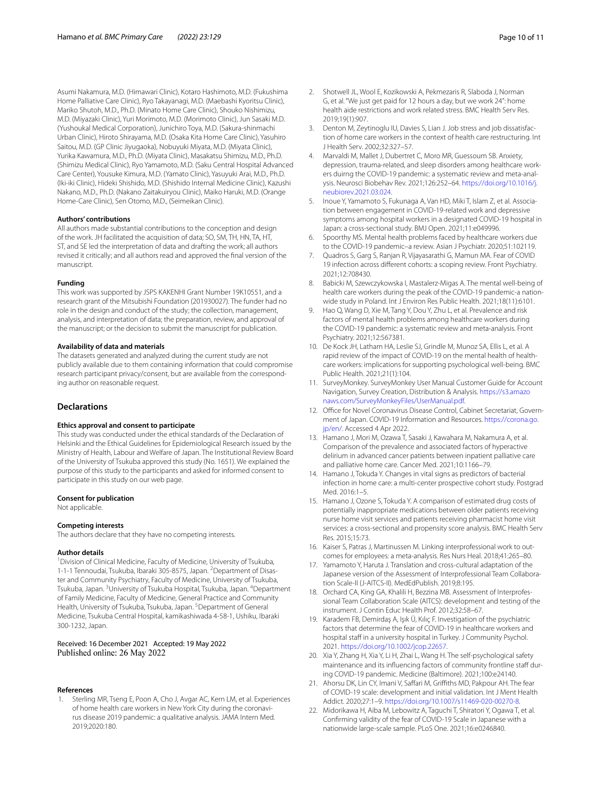Asumi Nakamura, M.D. (Himawari Clinic), Kotaro Hashimoto, M.D. (Fukushima Home Palliative Care Clinic), Ryo Takayanagi, M.D. (Maebashi Kyoritsu Clinic), Mariko Shutoh, M.D., Ph.D. (Minato Home Care Clinic), Shouko Nishimizu, M.D. (Miyazaki Clinic), Yuri Morimoto, M.D. (Morimoto Clinic), Jun Sasaki M.D. (Yushoukal Medical Corporation), Junichiro Toya, M.D. (Sakura-shinmachi Urban Clinic), Hiroto Shirayama, M.D. (Osaka Kita Home Care Clinic), Yasuhiro Saitou, M.D. (GP Clinic Jiyugaoka), Nobuyuki Miyata, M.D. (Miyata Clinic), Yurika Kawamura, M.D., Ph.D. (Miyata Clinic), Masakatsu Shimizu, M.D., Ph.D. (Shimizu Medical Clinic), Ryo Yamamoto, M.D. (Saku Central Hospital Advanced Care Center), Yousuke Kimura, M.D. (Yamato Clinic), Yasuyuki Arai, M.D., Ph.D. (Iki-iki Clinic), Hideki Shishido, M.D. (Shishido Internal Medicine Clinic), Kazushi Nakano, M.D., Ph.D. (Nakano Zaitakuiryou Clinic), Maiko Haruki, M.D. (Orange Home-Care Clinic), Sen Otomo, M.D., (Seimeikan Clinic).

#### **Authors' contributions**

All authors made substantial contributions to the conception and design of the work. JH facilitated the acquisition of data; SO, SM, TH, HN, TA, HT, ST, and SE led the interpretation of data and drafting the work; all authors revised it critically; and all authors read and approved the fnal version of the manuscript.

### **Funding**

This work was supported by JSPS KAKENHI Grant Number 19K10551, and a research grant of the Mitsubishi Foundation (201930027). The funder had no role in the design and conduct of the study; the collection, management, analysis, and interpretation of data; the preparation, review, and approval of the manuscript; or the decision to submit the manuscript for publication.

## **Availability of data and materials**

The datasets generated and analyzed during the current study are not publicly available due to them containing information that could compromise research participant privacy/consent, but are available from the corresponding author on reasonable request.

## **Declarations**

#### **Ethics approval and consent to participate**

This study was conducted under the ethical standards of the Declaration of Helsinki and the Ethical Guidelines for Epidemiological Research issued by the Ministry of Health, Labour and Welfare of Japan. The Institutional Review Board of the University of Tsukuba approved this study (No. 1651). We explained the purpose of this study to the participants and asked for informed consent to participate in this study on our web page.

#### **Consent for publication**

Not applicable.

## **Competing interests**

The authors declare that they have no competing interests.

#### **Author details**

<sup>1</sup> Division of Clinical Medicine, Faculty of Medicine, University of Tsukuba, 1-1-1 Tennoudai, Tsukuba, Ibaraki 305-8575, Japan. <sup>2</sup> Department of Disaster and Community Psychiatry, Faculty of Medicine, University of Tsukuba, Tsukuba, Japan. <sup>3</sup>University of Tsukuba Hospital, Tsukuba, Japan. <sup>4</sup>Department of Family Medicine, Faculty of Medicine, General Practice and Community Health, University of Tsukuba, Tsukuba, Japan. <sup>5</sup> Department of General Medicine, Tsukuba Central Hospital, kamikashiwada 4-58-1, Ushiku, Ibaraki 300-1232, Japan.

## Received: 16 December 2021 Accepted: 19 May 2022 Published online: 26 May 2022

### **References**

<span id="page-9-0"></span>Sterling MR, Tseng E, Poon A, Cho J, Avgar AC, Kern LM, et al. Experiences of home health care workers in New York City during the coronavirus disease 2019 pandemic: a qualitative analysis. JAMA Intern Med. 2019;2020:180.

- 2. Shotwell JL, Wool E, Kozikowski A, Pekmezaris R, Slaboda J, Norman G, et al. "We just get paid for 12 hours a day, but we work 24": home health aide restrictions and work related stress. BMC Health Serv Res. 2019;19(1):907.
- <span id="page-9-1"></span>3. Denton M, Zeytinoglu IU, Davies S, Lian J. Job stress and job dissatisfaction of home care workers in the context of health care restructuring. Int J Health Serv. 2002;32:327–57.
- <span id="page-9-2"></span>4. Marvaldi M, Mallet J, Dubertret C, Moro MR, Guessoum SB. Anxiety, depression, trauma-related, and sleep disorders among healthcare workers duirng the COVID-19 pandemic: a systematic review and meta-analysis. Neurosci Biobehav Rev. 2021;126:252–64. [https://doi.org/10.1016/j.](https://doi.org/10.1016/j.neubiorev.2021.03.024) [neubiorev.2021.03.024.](https://doi.org/10.1016/j.neubiorev.2021.03.024)
- <span id="page-9-15"></span>5. Inoue Y, Yamamoto S, Fukunaga A, Van HD, Miki T, Islam Z, et al. Association between engagement in COVID-19-related work and depressive symptoms among hospital workers in a designated COVID-19 hospital in Japan: a cross-sectional study. BMJ Open. 2021;11:e049996.
- <span id="page-9-3"></span>6. Spoorthy MS. Mental health problems faced by healthcare workers due to the COVID-19 pandemic–a review. Asian J Psychiatr. 2020;51:102119.
- <span id="page-9-4"></span>7. Quadros S, Garg S, Ranjan R, Vijayasarathi G, Mamun MA. Fear of COVID 19 infection across diferent cohorts: a scoping review. Front Psychiatry. 2021;12:708430.
- <span id="page-9-5"></span>8. Babicki M, Szewczykowska I, Mastalerz-Migas A. The mental well-being of health care workers during the peak of the COVID-19 pandemic-a nationwide study in Poland. Int J Environ Res Public Health. 2021;18(11):6101.
- <span id="page-9-6"></span>9. Hao Q, Wang D, Xie M, Tang Y, Dou Y, Zhu L, et al. Prevalence and risk factors of mental health problems among healthcare workers during the COVID-19 pandemic: a systematic review and meta-analysis. Front Psychiatry. 2021;12:567381.
- <span id="page-9-7"></span>10. De Kock JH, Latham HA, Leslie SJ, Grindle M, Munoz SA, Ellis L, et al. A rapid review of the impact of COVID-19 on the mental health of healthcare workers: implications for supporting psychological well-being. BMC Public Health. 2021;21(1):104.
- <span id="page-9-8"></span>11. SurveyMonkey. SurveyMonkey User Manual Customer Guide for Account Navigation, Survey Creation, Distribution & Analysis. [https://s3.amazo](https://s3.amazonaws.com/SurveyMonkeyFiles/UserManual.pdf) [naws.com/SurveyMonkeyFiles/UserManual.pdf](https://s3.amazonaws.com/SurveyMonkeyFiles/UserManual.pdf).
- <span id="page-9-9"></span>12. Office for Novel Coronavirus Disease Control, Cabinet Secretariat, Government of Japan. COVID-19 Information and Resources. [https://corona.go.](https://corona.go.jp/en/) [jp/en/](https://corona.go.jp/en/). Accessed 4 Apr 2022.
- <span id="page-9-10"></span>13. Hamano J, Mori M, Ozawa T, Sasaki J, Kawahara M, Nakamura A, et al. Comparison of the prevalence and associated factors of hyperactive delirium in advanced cancer patients between inpatient palliative care and palliative home care. Cancer Med. 2021;10:1166–79.
- 14. Hamano J, Tokuda Y. Changes in vital signs as predictors of bacterial infection in home care: a multi-center prospective cohort study. Postgrad Med. 2016:1–5.
- <span id="page-9-11"></span>15. Hamano J, Ozone S, Tokuda Y. A comparison of estimated drug costs of potentially inappropriate medications between older patients receiving nurse home visit services and patients receiving pharmacist home visit services: a cross-sectional and propensity score analysis. BMC Health Serv Res. 2015;15:73.
- <span id="page-9-12"></span>16. Kaiser S, Patras J, Martinussen M. Linking interprofessional work to outcomes for employees: a meta-analysis. Res Nurs Heal. 2018;41:265–80.
- <span id="page-9-13"></span>17. Yamamoto Y, Haruta J. Translation and cross-cultural adaptation of the Japanese version of the Assessment of Interprofessional Team Collaboration Scale-II (J-AITCS-II). MedEdPublish. 2019;8:195.
- <span id="page-9-14"></span>18. Orchard CA, King GA, Khalili H, Bezzina MB. Assessment of Interprofessional Team Collaboration Scale (AITCS): development and testing of the instrument. J Contin Educ Health Prof. 2012;32:58–67.
- <span id="page-9-16"></span>19. Karadem FB, Demirdaş A, Işık Ü, Kılıç F. Investigation of the psychiatric factors that determine the fear of COVID-19 in healthcare workers and hospital staff in a university hospital in Turkey. J Community Psychol. 2021. [https://doi.org/10.1002/jcop.22657.](https://doi.org/10.1002/jcop.22657)
- <span id="page-9-17"></span>20. Xia Y, Zhang H, Xia Y, Li H, Zhai L, Wang H. The self-psychological safety maintenance and its influencing factors of community frontline staff during COVID-19 pandemic. Medicine (Baltimore). 2021;100:e24140.
- <span id="page-9-18"></span>21. Ahorsu DK, Lin CY, Imani V, Saffari M, Griffiths MD, Pakpour AH. The fear of COVID-19 scale: development and initial validation. Int J Ment Health Addict. 2020;27:1–9. [https://doi.org/10.1007/s11469-020-00270-8.](https://doi.org/10.1007/s11469-020-00270-8)
- <span id="page-9-19"></span>22. Midorikawa H, Aiba M, Lebowitz A, Taguchi T, Shiratori Y, Ogawa T, et al. Confrming validity of the fear of COVID-19 Scale in Japanese with a nationwide large-scale sample. PLoS One. 2021;16:e0246840.